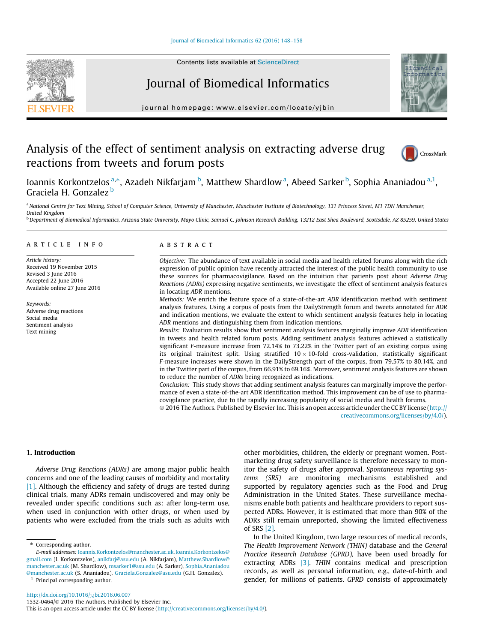# Journal of Biomedical Informatics



journal homepage: [www.elsevier.com/locate/yjbin](http://www.elsevier.com/locate/yjbin)

# Analysis of the effect of sentiment analysis on extracting adverse drug reactions from tweets and forum posts



Ioannis Korkontzelos <sup>a,</sup>\*, Azadeh Nikfarjam <sup>b</sup>, Matthew Shardlow <sup>a</sup>, Abeed Sarker <sup>b</sup>, Sophia Ananiadou <sup>a, 1</sup>, Graciela H. Gonzalez <sup>b</sup>

a National Centre for Text Mining, School of Computer Science, University of Manchester, Manchester Institute of Biotechnology, 131 Princess Street, M1 7DN Manchester, United Kingdom

b Department of Biomedical Informatics, Arizona State University, Mayo Clinic, Samuel C. Johnson Research Building, 13212 East Shea Boulevard, Scottsdale, AZ 85259, United States

### article info

Article history: Received 19 November 2015 Revised 3 June 2016 Accepted 22 June 2016 Available online 27 June 2016

Keywords: Adverse drug reactions Social media Sentiment analysis Text mining

## **ABSTRACT**

Objective: The abundance of text available in social media and health related forums along with the rich expression of public opinion have recently attracted the interest of the public health community to use these sources for pharmacovigilance. Based on the intuition that patients post about Adverse Drug Reactions (ADRs) expressing negative sentiments, we investigate the effect of sentiment analysis features in locating ADR mentions.

Methods: We enrich the feature space of a state-of-the-art ADR identification method with sentiment analysis features. Using a corpus of posts from the DailyStrength forum and tweets annotated for ADR and indication mentions, we evaluate the extent to which sentiment analysis features help in locating ADR mentions and distinguishing them from indication mentions.

Results: Evaluation results show that sentiment analysis features marginally improve ADR identification in tweets and health related forum posts. Adding sentiment analysis features achieved a statistically significant F-measure increase from 72.14% to 73.22% in the Twitter part of an existing corpus using its original train/test split. Using stratified  $10 \times 10$ -fold cross-validation, statistically significant F-measure increases were shown in the DailyStrength part of the corpus, from 79.57% to 80.14%, and in the Twitter part of the corpus, from 66.91% to 69.16%. Moreover, sentiment analysis features are shown to reduce the number of ADRs being recognized as indications.

Conclusion: This study shows that adding sentiment analysis features can marginally improve the performance of even a state-of-the-art ADR identification method. This improvement can be of use to pharmacovigilance practice, due to the rapidly increasing popularity of social media and health forums.

 2016 The Authors. Published by Elsevier Inc. This is an open access article under the CC BY license ([http://](http://creativecommons.org/licenses/by/4.0/) [creativecommons.org/licenses/by/4.0/](http://creativecommons.org/licenses/by/4.0/)).

# 1. Introduction

Adverse Drug Reactions (ADRs) are among major public health concerns and one of the leading causes of morbidity and mortality [\[1\]](#page-9-0). Although the efficiency and safety of drugs are tested during clinical trials, many ADRs remain undiscovered and may only be revealed under specific conditions such as: after long-term use, when used in conjunction with other drugs, or when used by patients who were excluded from the trials such as adults with

⇑ Corresponding author.

<sup>1</sup> Principal corresponding author.

other morbidities, children, the elderly or pregnant women. Postmarketing drug safety surveillance is therefore necessary to monitor the safety of drugs after approval. Spontaneous reporting systems (SRS) are monitoring mechanisms established and supported by regulatory agencies such as the Food and Drug Administration in the United States. These surveillance mechanisms enable both patients and healthcare providers to report suspected ADRs. However, it is estimated that more than 90% of the ADRs still remain unreported, showing the limited effectiveness of SRS [\[2\].](#page-9-0)

In the United Kingdom, two large resources of medical records, The Health Improvement Network (THIN) database and the General Practice Research Database (GPRD), have been used broadly for extracting ADRs [\[3\]](#page-9-0). THIN contains medical and prescription records, as well as personal information, e.g., date-of-birth and gender, for millions of patients. GPRD consists of approximately

E-mail addresses: [Ioannis.Korkontzelos@manchester.ac.uk,](mailto:Ioannis.Korkontzelos@manchester.ac.uk)[Ioannis.Korkontzelos@](mailto:Ioannis.Korkontzelos@gmail.com) [gmail.com](mailto:Ioannis.Korkontzelos@gmail.com) (I. Korkontzelos), [anikfarj@asu.edu](mailto:anikfarj@asu.edu) (A. Nikfarjam), [Matthew.Shardlow@](mailto:Matthew.Shardlow@manchester.ac.uk) [manchester.ac.uk](mailto:Matthew.Shardlow@manchester.ac.uk) (M. Shardlow), [msarker1@asu.edu](mailto:msarker1@asu.edu) (A. Sarker), [Sophia.Ananiadou](mailto:Sophia.Ananiadou@manchester.ac.uk) [@manchester.ac.uk](mailto:Sophia.Ananiadou@manchester.ac.uk) (S. Ananiadou), [Graciela.Gonzalez@asu.edu](mailto:Graciela.Gonzalez@asu.edu) (G.H. Gonzalez).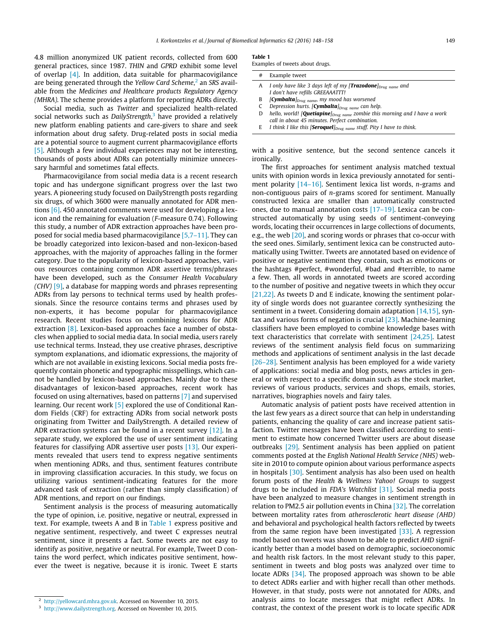4.8 million anonymized UK patient records, collected from 600 general practices, since 1987. THIN and GPRD exhibit some level of overlap [\[4\]](#page-9-0). In addition, data suitable for pharmacovigilance are being generated through the Yellow Card Scheme,<sup>2</sup> an SRS available from the Medicines and Healthcare products Regulatory Agency (MHRA). The scheme provides a platform for reporting ADRs directly.

Social media, such as Twitter and specialized health-related social networks such as DailyStrength,<sup>3</sup> have provided a relatively new platform enabling patients and care-givers to share and seek information about drug safety. Drug-related posts in social media are a potential source to augment current pharmacovigilance efforts [\[5\].](#page-9-0) Although a few individual experiences may not be interesting, thousands of posts about ADRs can potentially minimize unnecessary harmful and sometimes fatal effects.

Pharmacovigilance from social media data is a recent research topic and has undergone significant progress over the last two years. A pioneering study focused on DailyStrength posts regarding six drugs, of which 3600 were manually annotated for ADR mentions [\[6\].](#page-9-0) 450 annotated comments were used for developing a lexicon and the remaining for evaluation (F-measure 0.74). Following this study, a number of ADR extraction approaches have been proposed for social media based pharmacovigilance [\[5,7–11\]](#page-9-0). They can be broadly categorized into lexicon-based and non-lexicon-based approaches, with the majority of approaches falling in the former category. Due to the popularity of lexicon-based approaches, various resources containing common ADR assertive terms/phrases have been developed, such as the Consumer Health Vocabulary  $(CHV)$  [\[9\]](#page-9-0), a database for mapping words and phrases representing ADRs from lay persons to technical terms used by health professionals. Since the resource contains terms and phrases used by non-experts, it has become popular for pharmacovigilance research. Recent studies focus on combining lexicons for ADR extraction [\[8\].](#page-9-0) Lexicon-based approaches face a number of obstacles when applied to social media data. In social media, users rarely use technical terms. Instead, they use creative phrases, descriptive symptom explanations, and idiomatic expressions, the majority of which are not available in existing lexicons. Social media posts frequently contain phonetic and typographic misspellings, which cannot be handled by lexicon-based approaches. Mainly due to these disadvantages of lexicon-based approaches, recent work has focused on using alternatives, based on patterns [\[7\]](#page-9-0) and supervised learning. Our recent work [\[5\]](#page-9-0) explored the use of Conditional Random Fields (CRF) for extracting ADRs from social network posts originating from Twitter and DailyStrength. A detailed review of ADR extraction systems can be found in a recent survey [\[12\].](#page-9-0) In a separate study, we explored the use of user sentiment indicating features for classifying ADR assertive user posts [\[13\].](#page-9-0) Our experiments revealed that users tend to express negative sentiments when mentioning ADRs, and thus, sentiment features contribute in improving classification accuracies. In this study, we focus on utilizing various sentiment-indicating features for the more advanced task of extraction (rather than simply classification) of ADR mentions, and report on our findings.

Sentiment analysis is the process of measuring automatically the type of opinion, i.e. positive, negative or neutral, expressed in text. For example, tweets A and B in Table 1 express positive and negative sentiment, respectively, and tweet C expresses neutral sentiment, since it presents a fact. Some tweets are not easy to identify as positive, negative or neutral. For example, Tweet D contains the word perfect, which indicates positive sentiment, however the tweet is negative, because it is ironic. Tweet E starts

#### Table 1

Examples of tweets about drugs.

| # | Example tweet                                                                                                   |
|---|-----------------------------------------------------------------------------------------------------------------|
| A | I only have like 3 days left of my [ <b>Trazodone</b> ] $_{Drue\_name}$ and<br>I don't have refills GREEAAATTT! |
| В | $[Cymbalta]_{Drue \ name}$ , my mood has worsened                                                               |
|   | Depression hurts. [Cymbalta] $_{Drue\ name}$ can help.                                                          |
| D | hello, world! $[Quetiapine]_{Drug name}$ zombie this morning and I have a work                                  |
|   | call in about 45 minutes. Perfect combination.                                                                  |
|   | E I think I like this [Seroquel] $_{Drug name}$ stuff. Pity I have to think.                                    |
|   |                                                                                                                 |

with a positive sentence, but the second sentence cancels it ironically.

The first approaches for sentiment analysis matched textual units with opinion words in lexica previously annotated for sentiment polarity [\[14–16\]](#page-9-0). Sentiment lexica list words, n-grams and non-contiguous pairs of n-grams scored for sentiment. Manually constructed lexica are smaller than automatically constructed ones, due to manual annotation costs [\[17–19\]](#page-9-0). Lexica can be constructed automatically by using seeds of sentiment-conveying words, locating their occurrences in large collections of documents, e.g., the web [\[20\]](#page-9-0), and scoring words or phrases that co-occur with the seed ones. Similarly, sentiment lexica can be constructed automatically using Twitter. Tweets are annotated based on evidence of positive or negative sentiment they contain, such as emoticons or the hashtags #perfect, #wonderful, #bad and #terrible, to name a few. Then, all words in annotated tweets are scored according to the number of positive and negative tweets in which they occur [\[21,22\]](#page-9-0). As tweets D and E indicate, knowing the sentiment polarity of single words does not guarantee correctly synthesizing the sentiment in a tweet. Considering domain adaptation [\[14,15\],](#page-9-0) syntax and various forms of negation is crucial [\[23\].](#page-9-0) Machine-learning classifiers have been employed to combine knowledge bases with text characteristics that correlate with sentiment [\[24,25\].](#page-9-0) Latest reviews of the sentiment analysis field focus on summarizing methods and applications of sentiment analysis in the last decade [\[26–28\]](#page-9-0). Sentiment analysis has been employed for a wide variety of applications: social media and blog posts, news articles in general or with respect to a specific domain such as the stock market, reviews of various products, services and shops, emails, stories, narratives, biographies novels and fairy tales.

Automatic analysis of patient posts have received attention in the last few years as a direct source that can help in understanding patients, enhancing the quality of care and increase patient satisfaction. Twitter messages have been classified according to sentiment to estimate how concerned Twitter users are about disease outbreaks [\[29\]](#page-9-0). Sentiment analysis has been applied on patient comments posted at the English National Health Service (NHS) website in 2010 to compute opinion about various performance aspects in hospitals [\[30\]](#page-9-0). Sentiment analysis has also been used on health forum posts of the Health & Wellness Yahoo! Groups to suggest drugs to be included in FDA's Watchlist [\[31\]](#page-9-0). Social media posts have been analyzed to measure changes in sentiment strength in relation to PM2.5 air pollution events in China [\[32\].](#page-10-0) The correlation between mortality rates from atherosclerotic heart disease (AHD) and behavioral and psychological health factors reflected by tweets from the same region have been investigated [\[33\]](#page-10-0). A regression model based on tweets was shown to be able to predict AHD significantly better than a model based on demographic, socioeconomic and health risk factors. In the most relevant study to this paper, sentiment in tweets and blog posts was analyzed over time to locate ADRs [\[34\]](#page-10-0). The proposed approach was shown to be able to detect ADRs earlier and with higher recall than other methods. However, in that study, posts were not annotated for ADRs, and analysis aims to locate messages that might reflect ADRs. In contrast, the context of the present work is to locate specific ADR

<sup>2</sup> <http://yellowcard.mhra.gov.uk>. Accessed on November 10, 2015.

<sup>&</sup>lt;sup>3</sup> [http://www.dailystrength.org.](http://www.dailystrength.org) Accessed on November 10, 2015.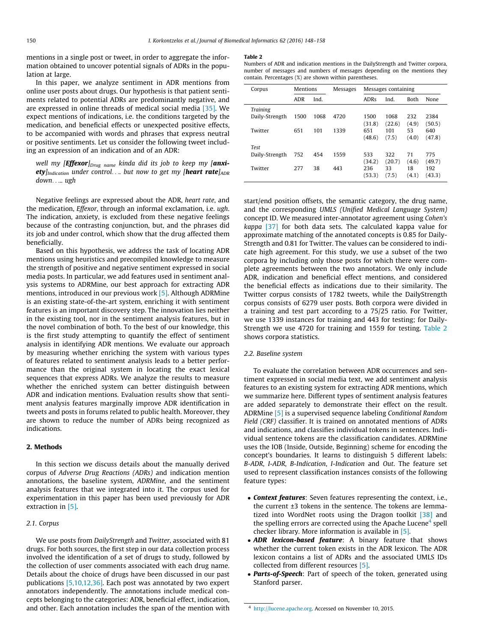<span id="page-2-0"></span>mentions in a single post or tweet, in order to aggregate the information obtained to uncover potential signals of ADRs in the population at large.

In this paper, we analyze sentiment in ADR mentions from online user posts about drugs. Our hypothesis is that patient sentiments related to potential ADRs are predominantly negative, and are expressed in online threads of medical social media [\[35\]](#page-10-0). We expect mentions of indications, i.e. the conditions targeted by the medication, and beneficial effects or unexpected positive effects, to be accompanied with words and phrases that express neutral or positive sentiments. Let us consider the following tweet including an expression of an indication and of an ADR:

well my [Effexor]<sub>Drug name</sub> kinda did its job to keep my [anxiety] $_{\text{Indication}}$  under control.... but now to get my [heart rate] $_{\text{ADR}}$ down..... ugh

Negative feelings are expressed about the ADR, heart rate, and the medication, Effexor, through an informal exclamation, i.e. ugh. The indication, anxiety, is excluded from these negative feelings because of the contrasting conjunction, but, and the phrases did its job and under control, which show that the drug affected them beneficially.

Based on this hypothesis, we address the task of locating ADR mentions using heuristics and precompiled knowledge to measure the strength of positive and negative sentiment expressed in social media posts. In particular, we add features used in sentiment analysis systems to ADRMine, our best approach for extracting ADR mentions, introduced in our previous work [\[5\]](#page-9-0). Although ADRMine is an existing state-of-the-art system, enriching it with sentiment features is an important discovery step. The innovation lies neither in the existing tool, nor in the sentiment analysis features, but in the novel combination of both. To the best of our knowledge, this is the first study attempting to quantify the effect of sentiment analysis in identifying ADR mentions. We evaluate our approach by measuring whether enriching the system with various types of features related to sentiment analysis leads to a better performance than the original system in locating the exact lexical sequences that express ADRs. We analyze the results to measure whether the enriched system can better distinguish between ADR and indication mentions. Evaluation results show that sentiment analysis features marginally improve ADR identification in tweets and posts in forums related to public health. Moreover, they are shown to reduce the number of ADRs being recognized as indications.

# 2. Methods

In this section we discuss details about the manually derived corpus of Adverse Drug Reactions (ADRs) and indication mention annotations, the baseline system, ADRMine, and the sentiment analysis features that we integrated into it. The corpus used for experimentation in this paper has been used previously for ADR extraction in [\[5\].](#page-9-0)

## 2.1. Corpus

We use posts from DailyStrength and Twitter, associated with 81 drugs. For both sources, the first step in our data collection process involved the identification of a set of drugs to study, followed by the collection of user comments associated with each drug name. Details about the choice of drugs have been discussed in our past publications [\[5,10,12,36\].](#page-9-0) Each post was annotated by two expert annotators independently. The annotations include medical concepts belonging to the categories: ADR, beneficial effect, indication, and other. Each annotation includes the span of the mention with

#### Table 2

| Numbers of ADR and indication mentions in the DailyStrength and Twitter corpora, |
|----------------------------------------------------------------------------------|
| number of messages and numbers of messages depending on the mentions they        |
| contain. Percentages (%) are shown within parentheses.                           |

| Corpus          | Mentions   |      | Messages |             |        | Messages containing |        |  |
|-----------------|------------|------|----------|-------------|--------|---------------------|--------|--|
|                 | <b>ADR</b> | Ind. |          | <b>ADRs</b> | Ind.   | <b>Both</b>         | None   |  |
| <b>Training</b> |            |      |          |             |        |                     |        |  |
| Daily-Strength  | 1500       | 1068 | 4720     | 1500        | 1068   | 232                 | 2384   |  |
|                 |            |      |          | (31.8)      | (22.6) | (4.9)               | (50.5) |  |
| Twitter         | 651        | 101  | 1339     | 651         | 101    | 53                  | 640    |  |
|                 |            |      |          | (48.6)      | (7.5)  | (4.0)               | (47.8) |  |
| <b>Test</b>     |            |      |          |             |        |                     |        |  |
| Daily-Strength  | 752        | 454  | 1559     | 533         | 322    | 71                  | 775    |  |
|                 |            |      |          | (34.2)      | (20.7) | (4.6)               | (49.7) |  |
| Twitter         | 277        | 38   | 443      | 236         | 33     | 18                  | 192    |  |
|                 |            |      |          | (53.3)      | (7.5)  | (4.1)               | (43.3) |  |

start/end position offsets, the semantic category, the drug name, and the corresponding UMLS (Unified Medical Language System) concept ID. We measured inter-annotator agreement using Cohen's  $kappa$  [\[37\]](#page-10-0) for both data sets. The calculated kappa value for approximate matching of the annotated concepts is 0.85 for Daily-Strength and 0.81 for Twitter. The values can be considered to indicate high agreement. For this study, we use a subset of the two corpora by including only those posts for which there were complete agreements between the two annotators. We only include ADR, indication and beneficial effect mentions, and considered the beneficial effects as indications due to their similarity. The Twitter corpus consists of 1782 tweets, while the DailyStrength corpus consists of 6279 user posts. Both corpora were divided in a training and test part according to a 75/25 ratio. For Twitter, we use 1339 instances for training and 443 for testing; for Daily-Strength we use 4720 for training and 1559 for testing. Table 2 shows corpora statistics.

#### 2.2. Baseline system

To evaluate the correlation between ADR occurrences and sentiment expressed in social media text, we add sentiment analysis features to an existing system for extracting ADR mentions, which we summarize here. Different types of sentiment analysis features are added separately to demonstrate their effect on the result. ADRMine [\[5\]](#page-9-0) is a supervised sequence labeling Conditional Random Field (CRF) classifier. It is trained on annotated mentions of ADRs and indications, and classifies individual tokens in sentences. Individual sentence tokens are the classification candidates. ADRMine uses the IOB (Inside, Outside, Beginning) scheme for encoding the concept's boundaries. It learns to distinguish 5 different labels: B-ADR, I-ADR, B-Indication, I-Indication and Out. The feature set used to represent classification instances consists of the following feature types:

- Context features: Seven features representing the context, i.e., the current ±3 tokens in the sentence. The tokens are lemma-tized into WordNet roots using the Dragon toolkit [\[38\]](#page-10-0) and the spelling errors are corrected using the Apache Lucene<sup>4</sup> spell checker library. More information is available in [\[5\].](#page-9-0)
- ADR lexicon-based feature: A binary feature that shows whether the current token exists in the ADR lexicon. The ADR lexicon contains a list of ADRs and the associated UMLS IDs collected from different resources [\[5\]](#page-9-0).
- Parts-of-Speech: Part of speech of the token, generated using Stanford parser.

<sup>4</sup> [http://lucene.apache.org.](http://lucene.apache.org) Accessed on November 10, 2015.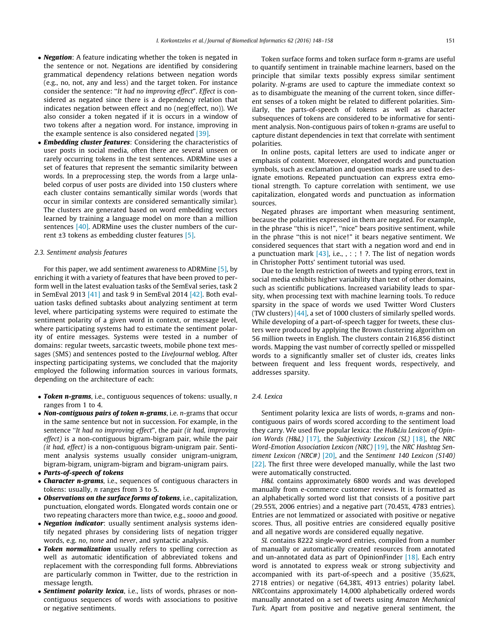- **Negation**: A feature indicating whether the token is negated in the sentence or not. Negations are identified by considering grammatical dependency relations between negation words (e.g., no, not, any and less) and the target token. For instance consider the sentence: ''It had no improving effect". Effect is considered as negated since there is a dependency relation that indicates negation between effect and no (neg(effect, no)). We also consider a token negated if it is occurs in a window of two tokens after a negation word. For instance, improving in the example sentence is also considered negated [\[39\]](#page-10-0).
- Embedding cluster features: Considering the characteristics of user posts in social media, often there are several unseen or rarely occurring tokens in the test sentences. ADRMine uses a set of features that represent the semantic similarity between words. In a preprocessing step, the words from a large unlabeled corpus of user posts are divided into 150 clusters where each cluster contains semantically similar words (words that occur in similar contexts are considered semantically similar). The clusters are generated based on word embedding vectors learned by training a language model on more than a million sentences [\[40\]](#page-10-0). ADRMine uses the cluster numbers of the current ±3 tokens as embedding cluster features [\[5\].](#page-9-0)

## 2.3. Sentiment analysis features

For this paper, we add sentiment awareness to ADRMine [\[5\]](#page-9-0), by enriching it with a variety of features that have been proved to perform well in the latest evaluation tasks of the SemEval series, task 2 in SemEval 2013 [\[41\]](#page-10-0) and task 9 in SemEval 2014 [\[42\]](#page-10-0). Both evaluation tasks defined subtasks about analyzing sentiment at term level, where participating systems were required to estimate the sentiment polarity of a given word in context, or message level, where participating systems had to estimate the sentiment polarity of entire messages. Systems were tested in a number of domains: regular tweets, sarcastic tweets, mobile phone text messages (SMS) and sentences posted to the LiveJournal weblog. After inspecting participating systems, we concluded that the majority employed the following information sources in various formats, depending on the architecture of each:

- Token n-grams, i.e., contiguous sequences of tokens: usually, n ranges from 1 to 4.
- Non-contiguous pairs of token n-grams, i.e. n-grams that occur in the same sentence but not in succession. For example, in the sentence "It had no improving effect", the pair (it had, improving effect) is a non-contiguous bigram-bigram pair, while the pair (it had, effect) is a non-contiguous bigram-unigram pair. Sentiment analysis systems usually consider unigram-unigram, bigram-bigram, unigram-bigram and bigram-unigram pairs.
- Parts-of-speech of tokens
- Character n-grams, i.e., sequences of contiguous characters in tokens: usually, n ranges from 3 to 5.
- Observations on the surface forms of tokens, i.e., capitalization, punctuation, elongated words. Elongated words contain one or two repeating characters more than twice, e.g., soooo and goood.
- Negation indicator: usually sentiment analysis systems identify negated phrases by considering lists of negation trigger words, e.g. no, none and never, and syntactic analysis.
- Token normalization usually refers to spelling correction as well as automatic identification of abbreviated tokens and replacement with the corresponding full forms. Abbreviations are particularly common in Twitter, due to the restriction in message length.
- Sentiment polarity lexica, i.e., lists of words, phrases or noncontiguous sequences of words with associations to positive or negative sentiments.

Token surface forms and token surface form  $n$ -grams are useful to quantify sentiment in trainable machine learners, based on the principle that similar texts possibly express similar sentiment polarity. N-grams are used to capture the immediate context so as to disambiguate the meaning of the current token, since different senses of a token might be related to different polarities. Similarly, the parts-of-speech of tokens as well as character subsequences of tokens are considered to be informative for sentiment analysis. Non-contiguous pairs of token n-grams are useful to capture distant dependencies in text that correlate with sentiment polarities.

In online posts, capital letters are used to indicate anger or emphasis of content. Moreover, elongated words and punctuation symbols, such as exclamation and question marks are used to designate emotions. Repeated punctuation can express extra emotional strength. To capture correlation with sentiment, we use capitalization, elongated words and punctuation as information sources.

Negated phrases are important when measuring sentiment, because the polarities expressed in them are negated. For example, in the phrase "this is nice!", "nice" bears positive sentiment, while in the phrase ''this is not nice!" it bears negative sentiment. We considered sequences that start with a negation word and end in a punctuation mark  $[43]$ , i.e., , : ; ! ?. The list of negation words in Christopher Potts' sentiment tutorial was used.

Due to the length restriction of tweets and typing errors, text in social media exhibits higher variability than text of other domains, such as scientific publications. Increased variability leads to sparsity, when processing text with machine learning tools. To reduce sparsity in the space of words we used Twitter Word Clusters (TW clusters) [\[44\]](#page-10-0), a set of 1000 clusters of similarly spelled words. While developing of a part-of-speech tagger for tweets, these clusters were produced by applying the Brown clustering algorithm on 56 million tweets in English. The clusters contain 216,856 distinct words. Mapping the vast number of correctly spelled or misspelled words to a significantly smaller set of cluster ids, creates links between frequent and less frequent words, respectively, and addresses sparsity.

## 2.4. Lexica

Sentiment polarity lexica are lists of words, *n*-grams and noncontiguous pairs of words scored according to the sentiment load they carry. We used five popular lexica: the Hu&Liu Lexicon of Opinion Words (H&L)  $[17]$ , the Subjectivity Lexicon (SL)  $[18]$ , the NRC Word-Emotion Association Lexicon (NRC) [\[19\]](#page-9-0), the NRC Hashtag Sentiment Lexicon (NRC#)  $[20]$ , and the Sentiment 140 Lexicon (S140) [\[22\]](#page-9-0). The first three were developed manually, while the last two were automatically constructed.

H&L contains approximately 6800 words and was developed manually from e-commerce customer reviews. It is formatted as an alphabetically sorted word list that consists of a positive part (29.55%, 2006 entries) and a negative part (70.45%, 4783 entries). Entries are not lemmatized or associated with positive or negative scores. Thus, all positive entries are considered equally positive and all negative words are considered equally negative.

SL contains 8222 single-word entries, compiled from a number of manually or automatically created resources from annotated and un-annotated data as part of OpinionFinder [\[18\]](#page-9-0). Each entry word is annotated to express weak or strong subjectivity and accompanied with its part-of-speech and a positive (35,62%, 2718 entries) or negative (64,38%, 4913 entries) polarity label. NRCcontains approximately 14,000 alphabetically ordered words manually annotated on a set of tweets using Amazon Mechanical Turk. Apart from positive and negative general sentiment, the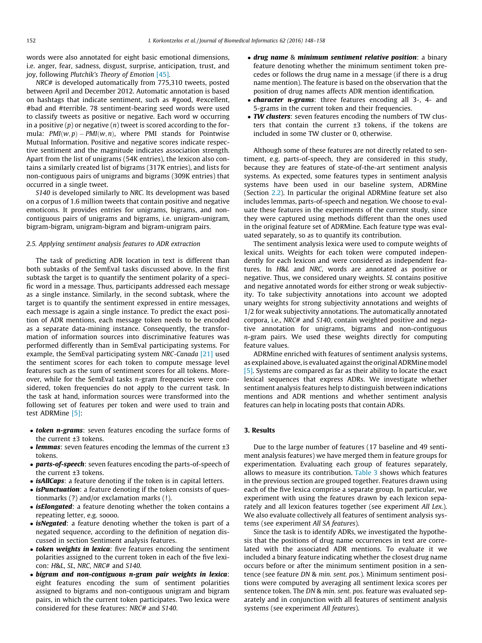words were also annotated for eight basic emotional dimensions, i.e. anger, fear, sadness, disgust, surprise, anticipation, trust, and joy, following Plutchik's Theory of Emotion [\[45\].](#page-10-0)

NRC# is developed automatically from 775,310 tweets, posted between April and December 2012. Automatic annotation is based on hashtags that indicate sentiment, such as #good, #excellent, #bad and #terrible. 78 sentiment-bearing seed words were used to classify tweets as positive or negative. Each word w occurring in a positive  $(p)$  or negative  $(n)$  tweet is scored according to the formula:  $PMI(w, p) - PMI(w, n)$ , where PMI stands for Pointwise Mutual Information. Positive and negative scores indicate respective sentiment and the magnitude indicates association strength. Apart from the list of unigrams (54K entries), the lexicon also contains a similarly created list of bigrams (317K entries), and lists for non-contiguous pairs of unigrams and bigrams (309K entries) that occurred in a single tweet.

S140 is developed similarly to NRC. Its development was based on a corpus of 1.6 million tweets that contain positive and negative emoticons. It provides entries for unigrams, bigrams, and noncontiguous pairs of unigrams and bigrams, i.e. unigram-unigram, bigram-bigram, unigram-bigram and bigram-unigram pairs.

### 2.5. Applying sentiment analysis features to ADR extraction

The task of predicting ADR location in text is different than both subtasks of the SemEval tasks discussed above. In the first subtask the target is to quantify the sentiment polarity of a specific word in a message. Thus, participants addressed each message as a single instance. Similarly, in the second subtask, where the target is to quantify the sentiment expressed in entire messages, each message is again a single instance. To predict the exact position of ADR mentions, each message token needs to be encoded as a separate data-mining instance. Consequently, the transformation of information sources into discriminative features was performed differently than in SemEval participating systems. For example, the SemEval participating system NRC-Canada [\[21\]](#page-9-0) used the sentiment scores for each token to compute message level features such as the sum of sentiment scores for all tokens. Moreover, while for the SemEval tasks n-gram frequencies were considered, token frequencies do not apply to the current task. In the task at hand, information sources were transformed into the following set of features per token and were used to train and test ADRMine [\[5\]](#page-9-0):

- token n-grams: seven features encoding the surface forms of the current ±3 tokens.
- lemmas: seven features encoding the lemmas of the current  $\pm 3$ tokens.
- parts-of-speech: seven features encoding the parts-of-speech of the current ±3 tokens.
- *isAllCaps*: a feature denoting if the token is in capital letters.
- *isPunctuation*: a feature denoting if the token consists of questionmarks (?) and/or exclamation marks (!).
- *isElongated*: a feature denoting whether the token contains a repeating letter, e.g. soooo.
- isNegated: a feature denoting whether the token is part of a negated sequence, according to the definition of negation discussed in section Sentiment analysis features.
- token weights in lexica: five features encoding the sentiment polarities assigned to the current token in each of the five lexicon: H&L, SL, NRC, NRC# and S140.
- bigram and non-contiguous n-gram pair weights in lexica: eight features encoding the sum of sentiment polarities assigned to bigrams and non-contiguous unigram and bigram pairs, in which the current token participates. Two lexica were considered for these features: NRC# and S140.
- drug name & minimum sentiment relative position: a binary feature denoting whether the minimum sentiment token precedes or follows the drug name in a message (if there is a drug name mention). The feature is based on the observation that the position of drug names affects ADR mention identification.
- *character n-grams*: three features encoding all 3-, 4- and 5-grams in the current token and their frequencies.
- TW clusters: seven features encoding the numbers of TW clusters that contain the current  $\pm 3$  tokens, if the tokens are included in some TW cluster or 0, otherwise.

Although some of these features are not directly related to sentiment, e.g. parts-of-speech, they are considered in this study, because they are features of state-of-the-art sentiment analysis systems. As expected, some features types in sentiment analysis systems have been used in our baseline system, ADRMine (Section [2.2](#page-2-0)). In particular the original ADRMine feature set also includes lemmas, parts-of-speech and negation. We choose to evaluate these features in the experiments of the current study, since they were captured using methods different than the ones used in the original feature set of ADRMine. Each feature type was evaluated separately, so as to quantify its contribution.

The sentiment analysis lexica were used to compute weights of lexical units. Weights for each token were computed independently for each lexicon and were considered as independent features. In H&L and NRC, words are annotated as positive or negative. Thus, we considered unary weights. SL contains positive and negative annotated words for either strong or weak subjectivity. To take subjectivity annotations into account we adopted unary weights for strong subjectivity annotations and weights of 1/2 for weak subjectivity annotations. The automatically annotated corpora, i.e., NRC# and S140, contain weighted positive and negative annotation for unigrams, bigrams and non-contiguous n-gram pairs. We used these weights directly for computing feature values.

ADRMine enriched with features of sentiment analysis systems, as explained above, is evaluated against the original ADRMine model [\[5\]](#page-9-0). Systems are compared as far as their ability to locate the exact lexical sequences that express ADRs. We investigate whether sentiment analysis features help to distinguish between indications mentions and ADR mentions and whether sentiment analysis features can help in locating posts that contain ADRs.

## 3. Results

Due to the large number of features (17 baseline and 49 sentiment analysis features) we have merged them in feature groups for experimentation. Evaluating each group of features separately, allows to measure its contribution. [Table 3](#page-5-0) shows which features in the previous section are grouped together. Features drawn using each of the five lexica comprise a separate group. In particular, we experiment with using the features drawn by each lexicon separately and all lexicon features together (see experiment All Lex.). We also evaluate collectively all features of sentiment analysis systems (see experiment All SA features).

Since the task is to identify ADRs, we investigated the hypothesis that the positions of drug name occurrences in text are correlated with the associated ADR mentions. To evaluate it we included a binary feature indicating whether the closest drug name occurs before or after the minimum sentiment position in a sentence (see feature DN & min. sent. pos.). Minimum sentiment positions were computed by averaging all sentiment lexica scores per sentence token. The DN & min. sent. pos. feature was evaluated separately and in conjunction with all features of sentiment analysis systems (see experiment All features).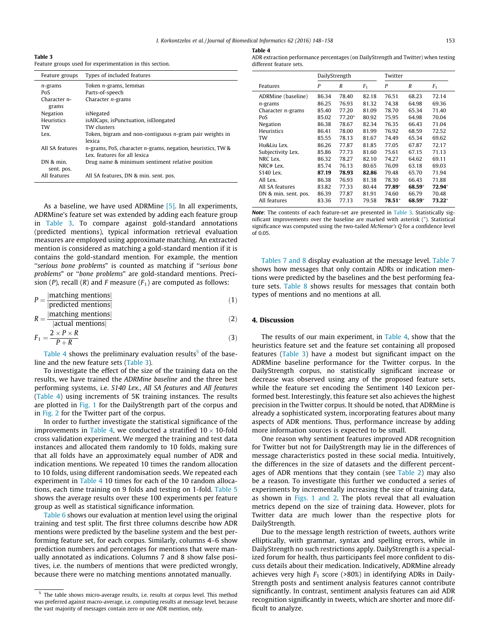I. Korkontzelos et al. / Journal of Biomedical Informatics 62 (2016) 148–158 153

<span id="page-5-0"></span>Table 3 Feature groups used for experimentation in this section.

| Feature groups               | Types of included features                                                                        |
|------------------------------|---------------------------------------------------------------------------------------------------|
| $n$ -grams                   | Token <i>n</i> -grams, lemmas                                                                     |
| PoS                          | Parts-of-speech                                                                                   |
| Character $n-$<br>grams      | Character $n$ -grams                                                                              |
| Negation                     | isNegated                                                                                         |
| <b>Heuristics</b>            | isAllCaps, isPunctuation, isElongated                                                             |
| TW                           | TW clusters                                                                                       |
| Lex.                         | Token, bigram and non-contiguous n-gram pair weights in<br>lexica                                 |
| All SA features              | $n$ -grams, PoS, character $n$ -grams, negation, heuristics, TW &<br>Lex. features for all lexica |
| $DN$ & $min$ .<br>sent. pos. | Drug name & minimum sentiment relative position                                                   |
| All features                 | All SA features, DN & min, sent, pos.                                                             |

As a baseline, we have used ADRMine [\[5\]](#page-9-0). In all experiments, ADRMine's feature set was extended by adding each feature group in Table 3. To compare against gold-standard annotations (predicted mentions), typical information retrieval evaluation measures are employed using approximate matching. An extracted mention is considered as matching a gold-standard mention if it is contains the gold-standard mention. For example, the mention ''serious bone problems" is counted as matching if ''serious bone problems" or ''bone problems" are gold-standard mentions. Precision (P), recall (R) and F measure  $(F_1)$  are computed as follows:

$$
P = \frac{|\text{matching mentions}|}{|\text{predicted mentions}|}\tag{1}
$$

$$
R = \frac{|\text{matching mentions}|}{|\text{actual mentions}|}\tag{2}
$$

$$
F_1 = \frac{2 \times P \times R}{P + R} \tag{3}
$$

Table 4 shows the preliminary evaluation results<sup>5</sup> of the baseline and the new feature sets (Table 3).

To investigate the effect of the size of the training data on the results, we have trained the ADRMine baseline and the three best performing systems, i.e. S140 Lex., All SA features and All features (Table 4) using increments of 5K training instances. The results are plotted in [Fig. 1](#page-6-0) for the DailyStrength part of the corpus and in [Fig. 2](#page-7-0) for the Twitter part of the corpus.

In order to further investigate the statistical significance of the improvements in Table 4, we conducted a stratified  $10 \times 10$ -fold cross validation experiment. We merged the training and test data instances and allocated them randomly to 10 folds, making sure that all folds have an approximately equal number of ADR and indication mentions. We repeated 10 times the random allocation to 10 folds, using different randomisation seeds. We repeated each experiment in Table 4 10 times for each of the 10 random allocations, each time training on 9 folds and testing on 1-fold. [Table 5](#page-7-0) shows the average results over these 100 experiments per feature group as well as statistical significance information.

[Table 6](#page-8-0) shows our evaluation at mention level using the original training and test split. The first three columns describe how ADR mentions were predicted by the baseline system and the best performing feature set, for each corpus. Similarly, columns 4–6 show prediction numbers and percentages for mentions that were manually annotated as indications. Columns 7 and 8 show false positives, i.e. the numbers of mentions that were predicted wrongly, because there were no matching mentions annotated manually.

| н<br>L<br>п<br>$\sim$<br>. . |  |
|------------------------------|--|
|                              |  |

| ADR extraction performance percentages (on DailyStrength and Twitter) when testing |  |
|------------------------------------------------------------------------------------|--|
| different feature sets.                                                            |  |

|                       |       | DailyStrength |                |        | Twitter |                |  |
|-----------------------|-------|---------------|----------------|--------|---------|----------------|--|
| Features              | P     | R             | F <sub>1</sub> | P      | R       | F <sub>1</sub> |  |
| ADRMine (baseline)    | 86.34 | 78.40         | 82.18          | 76.51  | 68.23   | 72.14          |  |
| $n$ -grams            | 86.25 | 76.93         | 81.32          | 74.38  | 64.98   | 69.36          |  |
| Character $n$ -grams  | 85.40 | 77.20         | 81.09          | 78.70  | 65.34   | 71.40          |  |
| PoS                   | 85.02 | $77.20*$      | 80.92          | 75.95  | 64.98   | 70.04          |  |
| Negation              | 86.38 | 78.67         | 82.34          | 76.35  | 66.43   | 71.04          |  |
| <b>Heuristics</b>     | 86.41 | 78.00         | 81.99          | 76.92  | 68.59   | 72.52          |  |
| TW                    | 85.55 | 78.13         | 81.67          | 74.49  | 65.34   | 69.62          |  |
| Hu&Liu Lex.           | 86.26 | 77.87         | 81.85          | 77.05  | 67.87   | 72.17          |  |
| Subjectivity Lex.     | 85.86 | 77.73         | 81.60          | 75.61  | 67.15   | 71.13          |  |
| NRC Lex.              | 86.32 | 78.27         | 82.10          | 74.27  | 64.62   | 69.11          |  |
| NRC# Lex.             | 85.74 | 76.13         | 80.65          | 76.09  | 63.18   | 69.03          |  |
| S <sub>140</sub> Lex. | 87.19 | 78.93         | 82.86          | 79.48  | 65.70   | 71.94          |  |
| All Lex.              | 86.38 | 76.93         | 81.38          | 78.30  | 66.43   | 71.88          |  |
| All SA features       | 83.82 | 77.33         | 80.44          | 77.89* | 68.59*  | 72.94*         |  |
| DN & min, sent, pos.  | 86.39 | 77.87         | 81.91          | 74.60  | 66.79   | 70.48          |  |
| All features          | 83.36 | 77.13         | 79.58          | 78.51* | 68.59*  | $73.22*$       |  |

Note: The contents of each feature-set are presented in Table 3. Statistically significant improvements over the baseline are marked with asterisk (⁄ ). Statistical significance was computed using the two-tailed McNemar's Q for a confidence level of 0.05.

[Tables 7 and 8](#page-8-0) display evaluation at the message level. [Table 7](#page-8-0) shows how messages that only contain ADRs or indication mentions were predicted by the baselines and the best performing feature sets. [Table 8](#page-8-0) shows results for messages that contain both types of mentions and no mentions at all.

# 4. Discussion

The results of our main experiment, in Table 4, show that the heuristics feature set and the feature set containing all proposed features (Table 3) have a modest but significant impact on the ADRMine baseline performance for the Twitter corpus. In the DailyStrength corpus, no statistically significant increase or decrease was observed using any of the proposed feature sets, while the feature set encoding the Sentiment 140 Lexicon performed best. Interestingly, this feature set also achieves the highest precision in the Twitter corpus. It should be noted, that ADRMine is already a sophisticated system, incorporating features about many aspects of ADR mentions. Thus, performance increase by adding more information sources is expected to be small.

One reason why sentiment features improved ADR recognition for Twitter but not for DailyStrength may lie in the differences of message characteristics posted in these social media. Intuitively, the differences in the size of datasets and the different percent-ages of ADR mentions that they contain (see [Table 2\)](#page-2-0) may also be a reason. To investigate this further we conducted a series of experiments by incrementally increasing the size of training data, as shown in [Figs. 1 and 2.](#page-6-0) The plots reveal that all evaluation metrics depend on the size of training data. However, plots for Twitter data are much lower than the respective plots for DailyStrength.

Due to the message length restriction of tweets, authors write elliptically, with grammar, syntax and spelling errors, while in DailyStrength no such restrictions apply. DailyStrength is a specialized forum for health, thus participants feel more confident to discuss details about their medication. Indicatively, ADRMine already achieves very high  $F_1$  score (>80%) in identifying ADRs in Daily-Strength posts and sentiment analysis features cannot contribute significantly. In contrast, sentiment analysis features can aid ADR recognition significantly in tweets, which are shorter and more difficult to analyze.

 $5$  The table shows micro-average results, i.e. results at corpus level. This method was preferred against macro-average, i.e. computing results at message level, because the vast majority of messages contain zero or one ADR mention, only.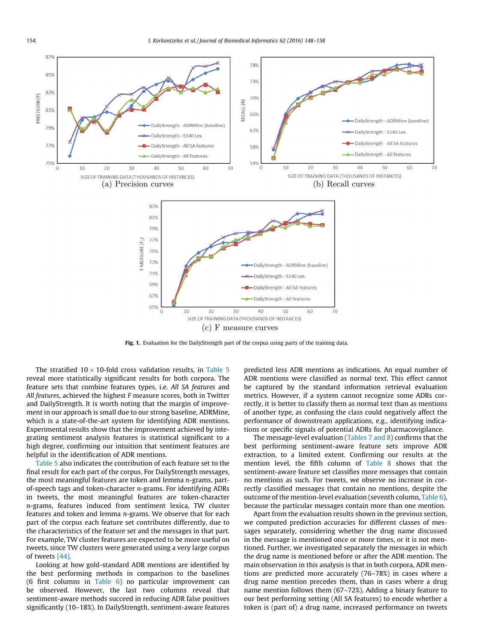<span id="page-6-0"></span>

Fig. 1. Evaluation for the DailyStrength part of the corpus using parts of the training data.

The stratified  $10 \times 10$ -fold cross validation results, in [Table 5](#page-7-0) reveal more statistically significant results for both corpora. The feature sets that combine features types, i.e. All SA features and All features, achieved the highest F measure scores, both in Twitter and DailyStrength. It is worth noting that the margin of improvement in our approach is small due to our strong baseline, ADRMine, which is a state-of-the-art system for identifying ADR mentions. Experimental results show that the improvement achieved by integrating sentiment analysis features is statistical significant to a high degree, confirming our intuition that sentiment features are helpful in the identification of ADR mentions.

[Table 5](#page-7-0) also indicates the contribution of each feature set to the final result for each part of the corpus. For DailyStrength messages, the most meaningful features are token and lemma n-grams, partof-speech tags and token-character n-grams. For identifying ADRs in tweets, the most meaningful features are token-character n-grams, features induced from sentiment lexica, TW cluster features and token and lemma n-grams. We observe that for each part of the corpus each feature set contributes differently, due to the characteristics of the feature set and the messages in that part. For example, TW cluster features are expected to be more useful on tweets, since TW clusters were generated using a very large corpus of tweets [\[44\]](#page-10-0).

Looking at how gold-standard ADR mentions are identified by the best performing methods in comparison to the baselines (6 first columns in [Table 6\)](#page-8-0) no particular improvement can be observed. However, the last two columns reveal that sentiment-aware methods succeed in reducing ADR false positives significantly (10–18%). In DailyStrength, sentiment-aware features predicted less ADR mentions as indications. An equal number of ADR mentions were classified as normal text. This effect cannot be captured by the standard information retrieval evaluation metrics. However, if a system cannot recognize some ADRs correctly, it is better to classify them as normal text than as mentions of another type, as confusing the class could negatively affect the performance of downstream applications, e.g., identifying indications or specific signals of potential ADRs for pharmacovigilance.

The message-level evaluation [\(Tables 7 and 8\)](#page-8-0) confirms that the best performing sentiment-aware feature sets improve ADR extraction, to a limited extent. Confirming our results at the mention level, the fifth column of [Table 8](#page-8-0) shows that the sentiment-aware feature set classifies more messages that contain no mentions as such. For tweets, we observe no increase in correctly classified messages that contain no mentions, despite the outcome of the mention-level evaluation (seventh column, [Table 6\)](#page-8-0), because the particular messages contain more than one mention.

Apart from the evaluation results shown in the previous section, we computed prediction accuracies for different classes of messages separately, considering whether the drug name discussed in the message is mentioned once or more times, or it is not mentioned. Further, we investigated separately the messages in which the drug name is mentioned before or after the ADR mention. The main observation in this analysis is that in both corpora, ADR mentions are predicted more accurately (76–78%) in cases where a drug name mention precedes them, than in cases where a drug name mention follows them (67–72%). Adding a binary feature to our best performing setting (All SA features) to encode whether a token is (part of) a drug name, increased performance on tweets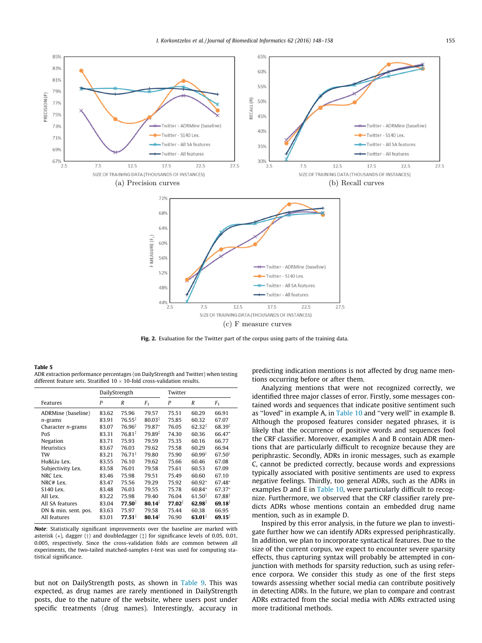<span id="page-7-0"></span>

Fig. 2. Evaluation for the Twitter part of the corpus using parts of the training data.

#### Table 5

ADR extraction performance percentages (on DailyStrength and Twitter) when testing different feature sets. Stratified  $10 \times 10$ -fold cross-validation results.

|                      |       | DailyStrength      |             | Twitter |                    |                    |
|----------------------|-------|--------------------|-------------|---------|--------------------|--------------------|
| Features             | P     | R                  | $F_1$       | P       | $\boldsymbol{R}$   | F <sub>1</sub>     |
| ADRMine (baseline)   | 83.62 | 75.96              | 79.57       | 75.51   | 60.29              | 66.91              |
| n-grams              | 83.91 | $76.55^{\ddagger}$ | $80.03*$    | 75.85   | 60.32              | 67.07              |
| Character $n$ -grams | 83.07 | 76.96‡             | 79.87*      | 76.05   | $62.32^{\ddagger}$ | $68.39*$           |
| PoS                  | 83.31 | 76.81 <sup>‡</sup> | 79.89‡      | 74.30   | 60.36              | 66.47*             |
| Negation             | 83.71 | 75.93              | 79.59       | 75.35   | 60.16              | 66.77              |
| Heuristics           | 83.67 | 76.03              | 79.62       | 75.58   | 60.29              | 66.94              |
| TW                   | 83.21 | $76.71*$           | 79.80       | 75.90   | $60.99^{\dagger}$  | $67.50^{\dagger}$  |
| Hu&Liu Lex.          | 83.55 | 76.10              | 79.62       | 75.66   | 60.46              | 67.08              |
| Subjectivity Lex.    | 83.58 | 76.01              | 79.58       | 75.61   | 60.53              | 67.09              |
| NRC Lex.             | 83.46 | 75.98              | 79.51       | 75.49   | 60.60              | 67.10              |
| NRC# Lex.            | 83.47 | 75.56              | 79.29       | 75.92   | 60.92*             | 67.48*             |
| S140 Lex.            | 83.48 | 76.03              | 79.55       | 75.78   | 60.84*             | 67.37*             |
| All Lex.             | 83.22 | 75.98              | 79.40       | 76.04   | $61.50*$           | 67.88              |
| All SA features      | 83.04 | $77.50^{\ddagger}$ | $80.14^{*}$ | 77.02   | $62.98^{\ddagger}$ | $69.18^{1}$        |
| DN & min, sent, pos. | 83.63 | 75.97              | 79.58       | 75.44   | 60.38              | 66.95              |
| All features         | 83.01 | $77.51^{\ddagger}$ | $80.14^{*}$ | 76.90   | 63.01‡             | $69.15^{\ddagger}$ |

Note: Statistically significant improvements over the baseline are marked with asterisk  $(*)$ , dagger  $(\dagger)$  and doubledagger  $(\dagger)$  for significance levels of 0.05, 0.01, 0.005, respectively. Since the cross-validation folds are common between all experiments, the two-tailed matched-samples t-test was used for computing statistical significance.

but not on DailyStrength posts, as shown in [Table 9.](#page-8-0) This was expected, as drug names are rarely mentioned in DailyStrength posts, due to the nature of the website, where users post under specific treatments (drug names). Interestingly, accuracy in predicting indication mentions is not affected by drug name mentions occurring before or after them.

Analyzing mentions that were not recognized correctly, we identified three major classes of error. Firstly, some messages contained words and sequences that indicate positive sentiment such as ''loved" in example A, in [Table 10](#page-9-0) and ''very well" in example B. Although the proposed features consider negated phrases, it is likely that the occurrence of positive words and sequences fool the CRF classifier. Moreover, examples A and B contain ADR mentions that are particularly difficult to recognize because they are periphrastic. Secondly, ADRs in ironic messages, such as example C, cannot be predicted correctly, because words and expressions typically associated with positive sentiments are used to express negative feelings. Thirdly, too general ADRs, such as the ADRs in examples D and E in [Table 10](#page-9-0), were particularly difficult to recognize. Furthermore, we observed that the CRF classifier rarely predicts ADRs whose mentions contain an embedded drug name mention, such as in example D.

Inspired by this error analysis, in the future we plan to investigate further how we can identify ADRs expressed periphrastically. In addition, we plan to incorporate syntactical features. Due to the size of the current corpus, we expect to encounter severe sparsity effects, thus capturing syntax will probably be attempted in conjunction with methods for sparsity reduction, such as using reference corpora. We consider this study as one of the first steps towards assessing whether social media can contribute positively in detecting ADRs. In the future, we plan to compare and contrast ADRs extracted from the social media with ADRs extracted using more traditional methods.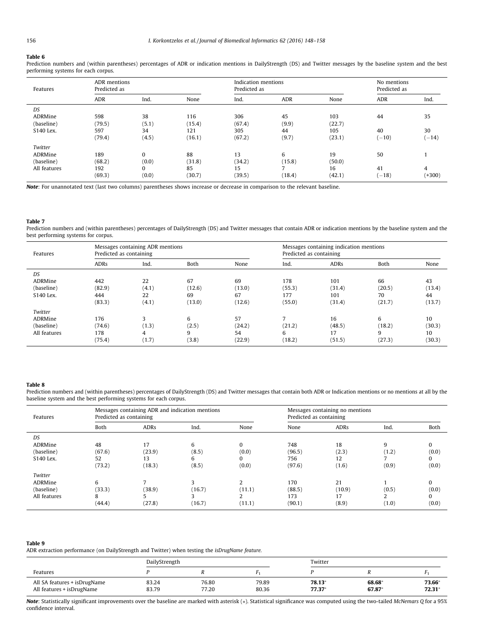#### <span id="page-8-0"></span>Table 6

Prediction numbers and (within parentheses) percentages of ADR or indication mentions in DailyStrength (DS) and Twitter messages by the baseline system and the best performing systems for each corpus.

| Features     | ADR mentions<br>Predicted as |              |        | Indication mentions<br>Predicted as |        |        | No mentions<br>Predicted as                              |          |
|--------------|------------------------------|--------------|--------|-------------------------------------|--------|--------|----------------------------------------------------------|----------|
|              | <b>ADR</b>                   | Ind.         | None   | Ind.                                | ADR    | None   | <b>ADR</b><br>44<br>40<br>$(-10)$<br>50<br>41<br>$(-18)$ | Ind.     |
| DS           |                              |              |        |                                     |        |        |                                                          |          |
| ADRMine      | 598                          | 38           | 116    | 306                                 | 45     | 103    |                                                          | 35       |
| (baseline)   | (79.5)                       | (5.1)        | (15.4) | (67.4)                              | (9.9)  | (22.7) |                                                          |          |
| S140 Lex.    | 597                          | 34           | 121    | 305                                 | 44     | 105    |                                                          | 30       |
|              | (79.4)                       | (4.5)        | (16.1) | (67.2)                              | (9.7)  | (23.1) |                                                          | $(-14)$  |
| Twitter      |                              |              |        |                                     |        |        |                                                          |          |
| ADRMine      | 189                          | $\mathbf{0}$ | 88     | 13                                  | 6      | 19     |                                                          |          |
| (baseline)   | (68.2)                       | (0.0)        | (31.8) | (34.2)                              | (15.8) | (50.0) |                                                          |          |
| All features | 192                          | $\bf{0}$     | 85     | 15                                  | ⇁      | 16     |                                                          | 4        |
|              | (69.3)                       | (0.0)        | (30.7) | (39.5)                              | (18.4) | (42.1) |                                                          | $(+300)$ |

Note: For unannotated text (last two columns) parentheses shows increase or decrease in comparison to the relevant baseline.

#### Table 7

Prediction numbers and (within parentheses) percentages of DailyStrength (DS) and Twitter messages that contain ADR or indication mentions by the baseline system and the best performing systems for corpus.

| Features                                         | Predicted as containing        | Messages containing ADR mentions |                              |                              | Messages containing indication mentions<br>Predicted as containing |                                |                              |                              |
|--------------------------------------------------|--------------------------------|----------------------------------|------------------------------|------------------------------|--------------------------------------------------------------------|--------------------------------|------------------------------|------------------------------|
|                                                  | <b>ADRs</b>                    | Ind.                             | Both                         | None                         | Ind.                                                               | <b>ADRs</b>                    | Both                         | None                         |
| DS<br>ADRMine<br>(baseline)<br>S140 Lex.         | 442<br>(82.9)<br>444<br>(83.3) | 22<br>(4.1)<br>22<br>(4.1)       | 67<br>(12.6)<br>69<br>(13.0) | 69<br>(13.0)<br>67<br>(12.6) | 178<br>(55.3)<br>177<br>(55.0)                                     | 101<br>(31.4)<br>101<br>(31.4) | 66<br>(20.5)<br>70<br>(21.7) | 43<br>(13.4)<br>44<br>(13.7) |
| Twitter<br>ADRMine<br>(baseline)<br>All features | 176<br>(74.6)<br>178<br>(75.4) | 3<br>(1.3)<br>4<br>(1.7)         | 6<br>(2.5)<br>9<br>(3.8)     | 57<br>(24.2)<br>54<br>(22.9) | (21.2)<br>6<br>(18.2)                                              | 16<br>(48.5)<br>17<br>(51.5)   | 6<br>(18.2)<br>q<br>(27.3)   | 10<br>(30.3)<br>10<br>(30.3) |

#### Table 8

Prediction numbers and (within parentheses) percentages of DailyStrength (DS) and Twitter messages that contain both ADR or Indication mentions or no mentions at all by the baseline system and the best performing systems for each corpus.

| Features     | Predicted as containing | Messages containing ADR and indication mentions |        | Messages containing no mentions<br>Predicted as containing |        |             |       |          |
|--------------|-------------------------|-------------------------------------------------|--------|------------------------------------------------------------|--------|-------------|-------|----------|
|              | Both                    | <b>ADRs</b>                                     | Ind.   | None                                                       | None   | <b>ADRs</b> | Ind.  | Both     |
| DS           |                         |                                                 |        |                                                            |        |             |       |          |
| ADRMine      | 48                      | 17                                              | 6      | $\Omega$                                                   | 748    | 18          | 9     |          |
| (baseline)   | (67.6)                  | (23.9)                                          | (8.5)  | (0.0)                                                      | (96.5) | (2.3)       | (1.2) | (0.0)    |
| S140 Lex.    | 52                      | 13                                              | 6      | $\Omega$                                                   | 756    | 12          |       | $\Omega$ |
|              | (73.2)                  | (18.3)                                          | (8.5)  | (0.0)                                                      | (97.6) | (1.6)       | (0.9) | (0.0)    |
| Twitter      |                         |                                                 |        |                                                            |        |             |       |          |
| ADRMine      | 6                       |                                                 |        |                                                            | 170    | 21          |       | $\Omega$ |
| (baseline)   | (33.3)                  | (38.9)                                          | (16.7) | (11.1)                                                     | (88.5) | (10.9)      | (0.5) | (0.0)    |
| All features | 8                       |                                                 |        | ຳ                                                          | 173    | 17          | C.    | $\Omega$ |
|              | (44.4)                  | (27.8)                                          | (16.7) | (11.1)                                                     | (90.1) | (8.9)       | (1.0) | (0.0)    |

#### Table 9

ADR extraction performance (on DailyStrength and Twitter) when testing the isDrugName feature.

|                                                           | DailyStrength  |                |                | Twitter           |                 |                  |
|-----------------------------------------------------------|----------------|----------------|----------------|-------------------|-----------------|------------------|
| Features                                                  |                |                |                |                   |                 |                  |
| All SA features + isDrugName<br>All features + isDrugName | 83.24<br>83.79 | 76.80<br>77.20 | 79.89<br>80.36 | 78.13<br>$77.37*$ | 68.68<br>67.87* | 73.66*<br>72.31* |

Note: Statistically significant improvements over the baseline are marked with asterisk (\*). Statistical significance was computed using the two-tailed McNemars Q for a 95% confidence interval.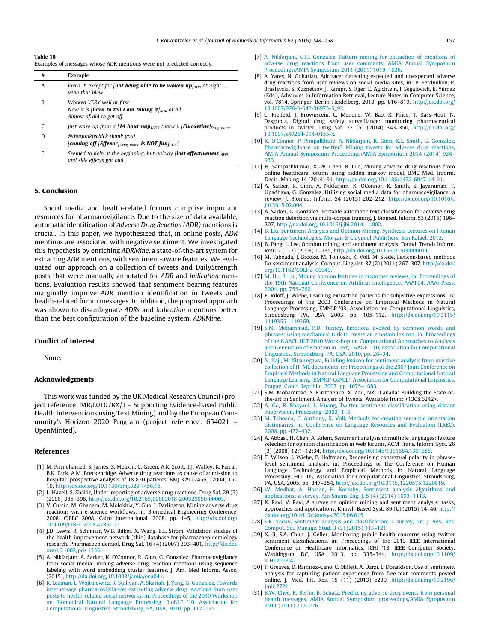#### <span id="page-9-0"></span>Table 10

Examples of messages whose ADR mentions were not predicted correctly.

| # | Example                                                                                                                      |
|---|------------------------------------------------------------------------------------------------------------------------------|
| A | loved it, except for [ <b>not being able to be woken up</b> $\vert_{ADR}$ at night<br>yeah that blew                         |
| B | Worked VERY well at first.<br>Now it is [ <b>hard to tell I am taking it</b> ] $_{ADR}$ at all.<br>Almost afraid to get off. |
|   | just woke up from a [14 hour nap] <sub>ADR</sub> thank u [ <b>Fluoxetine</b> ] <sub>Drug name</sub>                          |
| D | <b>@thatjunkiechick thank you!</b><br>[coming off [Effexor] $_{Drug \ name}$ is NOT fun] $_{ADR}$ !                          |
| E | Seemed to help at the beginning, but quickly <b>[lost effectiveness</b> ] $_{ADR}$<br>and side effects got bad.              |

## 5. Conclusion

Social media and health-related forums comprise important resources for pharmacovigilance. Due to the size of data available, automatic identification of Adverse Drug Reaction (ADR) mentions is crucial. In this paper, we hypothesized that, in online posts, ADR mentions are associated with negative sentiment. We investigated this hypothesis by enriching ADRMine, a state-of-the-art system for extracting ADR mentions, with sentiment-aware features. We evaluated our approach on a collection of tweets and DailyStrength posts that were manually annotated for ADR and indication mentions. Evaluation results showed that sentiment-bearing features marginally improve ADR mention identification in tweets and health-related forum messages. In addition, the proposed approach was shown to disambiguate ADRs and indication mentions better than the best configuration of the baseline system, ADRMine.

# Conflict of interest

None.

#### Acknowledgments

This work was funded by the UK Medical Research Council (project reference: MR/L01078X/1 – Supporting Evidence-based Public Health Interventions using Text Mining) and by the European Community's Horizon 2020 Program (project reference: 654021 – OpenMinted).

#### References

- [1] M. Pirmohamed, S. James, S. Meakin, C. Green, A.K. Scott, T.J. Walley, K. Farrar, B.K. Park, A.M. Breckenridge, Adverse drug reactions as cause of admission to hospital: prospective analysis of 18 820 patients, BMJ 329 (7456) (2004) 15– 19, <http://dx.doi.org/10.1136/bmj.329.7456.15>.
- [2] L. Hazell, S. Shakir, Under-reporting of adverse drug reactions, Drug Saf. 29 (5) (2006) 385–396, <http://dx.doi.org/10.2165/00002018-200629050-00003>.
- [3] V. Curcin, M. Ghanem, M. Molokhia, Y. Guo, J. Darlington, Mining adverse drug reactions with e-science workflows, in: Biomedical Engineering Conference, 2008. CIBEC 2008, Cairo International, 2008, pp. 1–5, [http://dx.doi.org/](http://dx.doi.org/10.1109/CIBEC.2008.4786100) [10.1109/CIBEC.2008.4786100.](http://dx.doi.org/10.1109/CIBEC.2008.4786100)
- [4] J.D. Lewis, R. Schinnar, W.B. Bilker, X. Wang, B.L. Strom, Validation studies of the health improvement network (thin) database for pharmacoepidemiology research, Pharmacoepidemiol. Drug Saf. 16 (4) (2007) 393–401, [http://dx.doi.](http://dx.doi.org/10.1002/pds.1335) [org/10.1002/pds.1335.](http://dx.doi.org/10.1002/pds.1335)
- [5] A. Nikfarjam, A. Sarker, K. O'Connor, R. Ginn, G. Gonzalez, Pharmacovigilance from social media: mining adverse drug reaction mentions using sequence labeling with word embedding cluster features, J. Am. Med Inform. Assoc. (2015), <http://dx.doi.org/10.1093/jamia/ocu041>.
- [6] [R. Leaman, L. Wojtulewicz, R. Sullivan, A. Skariah, J. Yang, G. Gonzalez, Towards](http://refhub.elsevier.com/S1532-0464(16)30050-8/h0030) [internet-age pharmacovigilance: extracting adverse drug reactions from user](http://refhub.elsevier.com/S1532-0464(16)30050-8/h0030) [posts to health-related social networks, in: Proceedings of the 2010 Workshop](http://refhub.elsevier.com/S1532-0464(16)30050-8/h0030) [on Biomedical Natural Language Processing, BioNLP '10, Association for](http://refhub.elsevier.com/S1532-0464(16)30050-8/h0030) [Computational Linguistics, Stroudsburg, PA, USA, 2010, pp. 117–125](http://refhub.elsevier.com/S1532-0464(16)30050-8/h0030).
- [7] [A. Nikfarjam, G.H. Gonzalez, Pattern mining for extraction of mentions of](http://refhub.elsevier.com/S1532-0464(16)30050-8/h0035) [adverse drug reactions from user comments, AMIA Annual Symposium](http://refhub.elsevier.com/S1532-0464(16)30050-8/h0035) [Proceedings/AMIA Symposium 2011 \(2011\) 1019–1026](http://refhub.elsevier.com/S1532-0464(16)30050-8/h0035).
- A. Yates, N. Goharian, Adrtrace: detecting expected and unexpected adverse drug reactions from user reviews on social media sites, in: P. Serdyukov, P. Braslavski, S. Kuznetsov, J. Kamps, S. Rger, E. Agichtein, I. Segalovich, E. Yilmaz (Eds.), Advances in Information Retrieval, Lecture Notes in Computer Science, vol. 7814, Springer, Berlin Heidelberg, 2013, pp. 816-819, [http://dx.doi.org/](http://dx.doi.org/10.1007/978-3-642-36973-5_92) [10.1007/978-3-642-36973-5\\_92](http://dx.doi.org/10.1007/978-3-642-36973-5_92).
- [9] C. Freifeld, J. Brownstein, C. Menone, W. Bao, R. Filice, T. Kass-Hout, N. Dasgupta, Digital drug safety surveillance: monitoring pharmaceutical products in twitter, Drug Saf. 37 (5) (2014) 343–350, [http://dx.doi.org/](http://dx.doi.org/10.1007/s40264-014-0155-x) [10.1007/s40264-014-0155-x](http://dx.doi.org/10.1007/s40264-014-0155-x).
- [10] [K. O'Connor, P. Pimpalkhute, A. Nikfarjam, R. Ginn, K.L. Smith, G. Gonzalez,](http://refhub.elsevier.com/S1532-0464(16)30050-8/h0050) [Pharmacovigilance on twitter? Mining tweets for adverse drug reactions,](http://refhub.elsevier.com/S1532-0464(16)30050-8/h0050) [AMIA Annual Symposium Proceedings/AMIA Symposium 2014 \(2014\) 924–](http://refhub.elsevier.com/S1532-0464(16)30050-8/h0050) [933.](http://refhub.elsevier.com/S1532-0464(16)30050-8/h0050)
- [11] H. Sampathkumar, X.-W. Chen, B. Luo, Mining adverse drug reactions from online healthcare forums using hidden markov model, BMC Med. Inform. Decis. Making 14 (2014) 91, <http://dx.doi.org/10.1186/1472-6947-14-91>.
- [12] A. Sarker, R. Ginn, A. Nikfarjam, K. OConnor, K. Smith, S. Jayaraman, T. Upadhaya, G. Gonzalez, Utilizing social media data for pharmacovigilance: a review, J. Biomed. Inform. 54 (2015) 202–212, [http://dx.doi.org/10.1016/j.](http://dx.doi.org/10.1016/j.jbi.2015.02.004) [jbi.2015.02.004.](http://dx.doi.org/10.1016/j.jbi.2015.02.004)
- [13] A. Sarker, G. Gonzalez, Portable automatic text classification for adverse drug reaction detection via multi-corpus training, J. Biomed. Inform. 53 (2015) 196– 207, <http://dx.doi.org/10.1016/j.jbi.2014.11.002>.
- [14] [B. Liu, Sentiment Analysis and Opinion Mining, Synthesis Lectures on Human](http://refhub.elsevier.com/S1532-0464(16)30050-8/h0070) [Language Technologies, Morgan & Claypool Publishers, San Rafael, 2012](http://refhub.elsevier.com/S1532-0464(16)30050-8/h0070).
- [15] B. Pang, L. Lee, Opinion mining and sentiment analysis, Found. Trends Inform. Retr. 2 (1–2) (2008) 1–135, <http://dx.doi.org/10.1561/1500000011>.
- [16] M. Taboada, J. Brooke, M. Tofiloski, K. Voll, M. Stede, Lexicon-based methods for sentiment analysis, Comput. Linguist. 37 (2) (2011) 267–307, [http://dx.doi.](http://dx.doi.org/10.1162/COLI_a_00049) [org/10.1162/COLI\\_a\\_00049.](http://dx.doi.org/10.1162/COLI_a_00049)
- [17] [M. Hu, B. Liu, Mining opinion features in customer reviews, in: Proceedings of](http://refhub.elsevier.com/S1532-0464(16)30050-8/h0085) [the 19th National Conference on Artificial Intelligence, AAAI'04, AAAI Press,](http://refhub.elsevier.com/S1532-0464(16)30050-8/h0085) [2004, pp. 755–760.](http://refhub.elsevier.com/S1532-0464(16)30050-8/h0085)
- [18] E. Riloff, J. Wiebe, Learning extraction patterns for subjective expressions, in: Proceedings of the 2003 Conference on Empirical Methods in Natural Language Processing, EMNLP '03, Association for Computational Linguistics, Stroudsburg, PA, USA, 2003, pp. 105–112, [http://dx.doi.org/10.3115/](http://dx.doi.org/10.3115/1119355.1119369) [1119355.1119369](http://dx.doi.org/10.3115/1119355.1119369).
- [19] [S.M. Mohammad, P.D. Turney, Emotions evoked by common words and](http://refhub.elsevier.com/S1532-0464(16)30050-8/h0095) [phrases: using mechanical turk to create an emotion lexicon, in: Proceedings](http://refhub.elsevier.com/S1532-0464(16)30050-8/h0095) [of the NAACL HLT 2010 Workshop on Computational Approaches to Analysis](http://refhub.elsevier.com/S1532-0464(16)30050-8/h0095) [and Generation of Emotion in Text, CAAGET '10, Association for Computational](http://refhub.elsevier.com/S1532-0464(16)30050-8/h0095) [Linguistics, Stroudsburg, PA, USA, 2010, pp. 26–34](http://refhub.elsevier.com/S1532-0464(16)30050-8/h0095).
- [20] [N. Kaji, M. Kitsuregawa, Building lexicon for sentiment analysis from massive](http://refhub.elsevier.com/S1532-0464(16)30050-8/h0100) [collection of HTML documents, in: Proceedings of the 2007 Joint Conference on](http://refhub.elsevier.com/S1532-0464(16)30050-8/h0100) [Empirical Methods in Natural Language Processing and Computational Natural](http://refhub.elsevier.com/S1532-0464(16)30050-8/h0100) [Language Learning \(EMNLP-CoNLL\), Association for Computational Linguistics,](http://refhub.elsevier.com/S1532-0464(16)30050-8/h0100) [Prague, Czech Republic, 2007, pp. 1075–1083](http://refhub.elsevier.com/S1532-0464(16)30050-8/h0100).
- [21] S.M. Mohammad, S. Kiritchenko, X. Zhu, NRC-Canada: Building the State-ofthe-art in Sentiment Analysis of Tweets. Available from: <1308.6242>.
- [22] [A. Go, R. Bhayani, L. Huang, Twitter sentiment classification using distant](http://refhub.elsevier.com/S1532-0464(16)30050-8/h0110) [supervision, Processing \(2009\) 1–6](http://refhub.elsevier.com/S1532-0464(16)30050-8/h0110).
- [23] [M. Taboada, C. Anthony, K. Voll, Methods for creating semantic orientation](http://refhub.elsevier.com/S1532-0464(16)30050-8/h0115) [dictionaries, in: Conference on Language Resources and Evaluation \(LREC\),](http://refhub.elsevier.com/S1532-0464(16)30050-8/h0115) [2006, pp. 427–432](http://refhub.elsevier.com/S1532-0464(16)30050-8/h0115).
- [24] A. Abbasi, H. Chen, A. Salem, Sentiment analysis in multiple languages: feature selection for opinion classification in web forums, ACM Trans. Inform. Syst. 26 (3) (2008) 12:1–12:34, [http://dx.doi.org/10.1145/1361684.1361685.](http://dx.doi.org/10.1145/1361684.1361685)
- [25] T. Wilson, J. Wiebe, P. Hoffmann, Recognizing contextual polarity in phraselevel sentiment analysis, in: Proceedings of the Conference on Human Language Technology and Empirical Methods in Natural Language Processing, HLT '05, Association for Computational Linguistics, Stroudsburg, PA, USA, 2005, pp. 347–354, <http://dx.doi.org/10.3115/1220575.1220619>.
- [26] [W. Medhat, A. Hassan, H. Korashy, Sentiment analysis algorithms and](http://refhub.elsevier.com/S1532-0464(16)30050-8/h0130) [applications: a survey, Ain Shams Eng. J. 5 \(4\) \(2014\) 1093–1113.](http://refhub.elsevier.com/S1532-0464(16)30050-8/h0130)
- [27] K. Ravi, V. Ravi, A survey on opinion mining and sentiment analysis: tasks, approaches and applications, Knowl.-Based Syst. 89 (C) (2015) 14–46, [http://](http://dx.doi.org/10.1016/j.knosys.2015.06.015) [dx.doi.org/10.1016/j.knosys.2015.06.015](http://dx.doi.org/10.1016/j.knosys.2015.06.015).
- [28] [S.K. Yadav, Sentiment analysis and classification: a survey, Int. J. Adv. Res.](http://refhub.elsevier.com/S1532-0464(16)30050-8/h0140) [Comput. Sci. Manage. Stud. 3 \(3\) \(2015\) 113–121.](http://refhub.elsevier.com/S1532-0464(16)30050-8/h0140)
- [29] X. Ji, S.A. Chun, J. Geller, Monitoring public health concerns using twitter sentiment classifications, in: Proceedings of the 2013 IEEE International Conference on Healthcare Informatics, ICHI '13, IEEE Computer Society, Washington, DC, USA, 2013, pp. 335–344, [http://dx.doi.org/10.1109/](http://dx.doi.org/10.1109/ICHI.2013.47) [ICHI.2013.47](http://dx.doi.org/10.1109/ICHI.2013.47).
- [30] F. Greaves, D. Ramirez-Cano, C. Millett, A. Darzi, L. Donaldson, Use of sentiment analysis for capturing patient experience from free-text comments posted online, J. Med. Int. Res. 15 (11) (2013) e239, [http://dx.doi.org/10.2196/](http://dx.doi.org/10.2196/jmir.2721) [jmir.2721.](http://dx.doi.org/10.2196/jmir.2721)
- [31] [B.W. Chee, R. Berlin, B. Schatz, Predicting adverse drug events from personal](http://refhub.elsevier.com/S1532-0464(16)30050-8/h0155) [health messages, AMIA Annual Symposium proceedings/AMIA Symposium](http://refhub.elsevier.com/S1532-0464(16)30050-8/h0155) [2011 \(2011\) 217–226](http://refhub.elsevier.com/S1532-0464(16)30050-8/h0155).